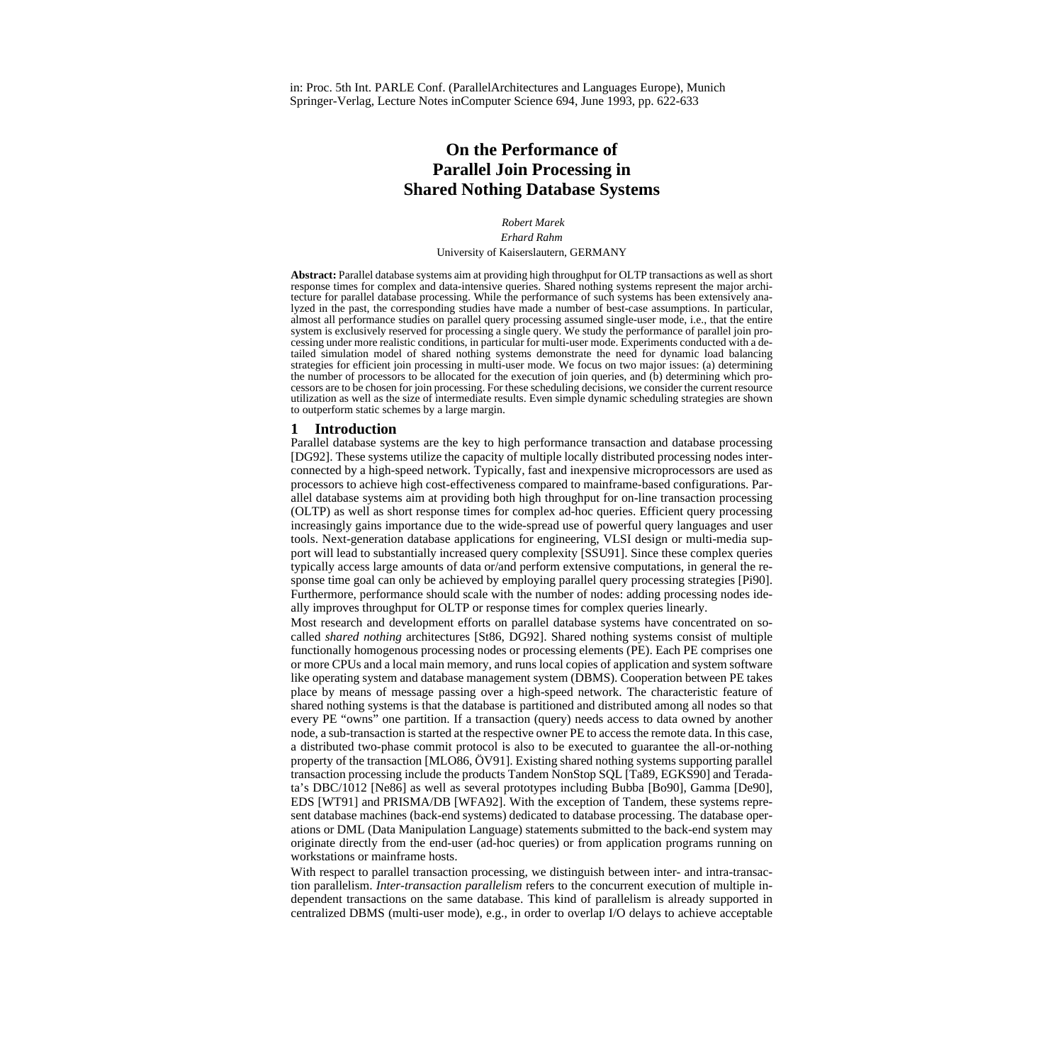in: Proc. 5th Int. PARLE Conf. (ParallelArchitectures and Languages Europe), Munich Springer-Verlag, Lecture Notes inComputer Science 694, June 1993, pp. 622-633

# **On the Performance of Parallel Join Processing in Shared Nothing Database Systems**

 *Robert Marek Erhard Rahm* University of Kaiserslautern, GERMANY

**Abstract:** Parallel database systems aim at providing high throughput for OLTP transactions as well as short response times for complex and data-intensive queries. Shared nothing systems represent the major architecture for parallel database processing. While the performance of such systems has been extensively analyzed in the past, the corresponding studies have made a number of best-case assumptions. In particular, almost all performance studies on parallel query processing assumed single-user mode, i.e., that the entire system is exclusively reserved for processing a single query. We study the performance of parallel join processing under more realistic conditions, in particular for multi-user mode. Experiments conducted with a detailed simulation model of shared nothing systems demonstrate the need for dynamic load balancing strategies for efficient join processing in multi-user mode. We focus on two major issues: (a) determining the number of processors to be allocated for the execution of join queries, and (b) determining which processors are to be chosen for join processing. For these scheduling decisions, we consider the current resource utilization as well as the size of intermediate results. Even simple dynamic scheduling strategies are shown to outperform static schemes by a large margin.

## **1 Introduction**

Parallel database systems are the key to high performance transaction and database processing [DG92]. These systems utilize the capacity of multiple locally distributed processing nodes interconnected by a high-speed network. Typically, fast and inexpensive microprocessors are used as processors to achieve high cost-effectiveness compared to mainframe-based configurations. Parallel database systems aim at providing both high throughput for on-line transaction processing (OLTP) as well as short response times for complex ad-hoc queries. Efficient query processing increasingly gains importance due to the wide-spread use of powerful query languages and user tools. Next-generation database applications for engineering, VLSI design or multi-media support will lead to substantially increased query complexity [SSU91]. Since these complex queries typically access large amounts of data or/and perform extensive computations, in general the response time goal can only be achieved by employing parallel query processing strategies [Pi90]. Furthermore, performance should scale with the number of nodes: adding processing nodes ideally improves throughput for OLTP or response times for complex queries linearly.

Most research and development efforts on parallel database systems have concentrated on socalled *shared nothing* architectures [St86, DG92]. Shared nothing systems consist of multiple functionally homogenous processing nodes or processing elements (PE). Each PE comprises one or more CPUs and a local main memory, and runs local copies of application and system software like operating system and database management system (DBMS). Cooperation between PE takes place by means of message passing over a high-speed network. The characteristic feature of shared nothing systems is that the database is partitioned and distributed among all nodes so that every PE "owns" one partition. If a transaction (query) needs access to data owned by another node, a sub-transaction is started at the respective owner PE to access the remote data. In this case, a distributed two-phase commit protocol is also to be executed to guarantee the all-or-nothing property of the transaction [MLO86, ÖV91]. Existing shared nothing systems supporting parallel transaction processing include the products Tandem NonStop SQL [Ta89, EGKS90] and Teradata's DBC/1012 [Ne86] as well as several prototypes including Bubba [Bo90], Gamma [De90], EDS [WT91] and PRISMA/DB [WFA92]. With the exception of Tandem, these systems represent database machines (back-end systems) dedicated to database processing. The database operations or DML (Data Manipulation Language) statements submitted to the back-end system may originate directly from the end-user (ad-hoc queries) or from application programs running on workstations or mainframe hosts.

With respect to parallel transaction processing, we distinguish between inter- and intra-transaction parallelism. *Inter-transaction parallelism* refers to the concurrent execution of multiple independent transactions on the same database. This kind of parallelism is already supported in centralized DBMS (multi-user mode), e.g., in order to overlap I/O delays to achieve acceptable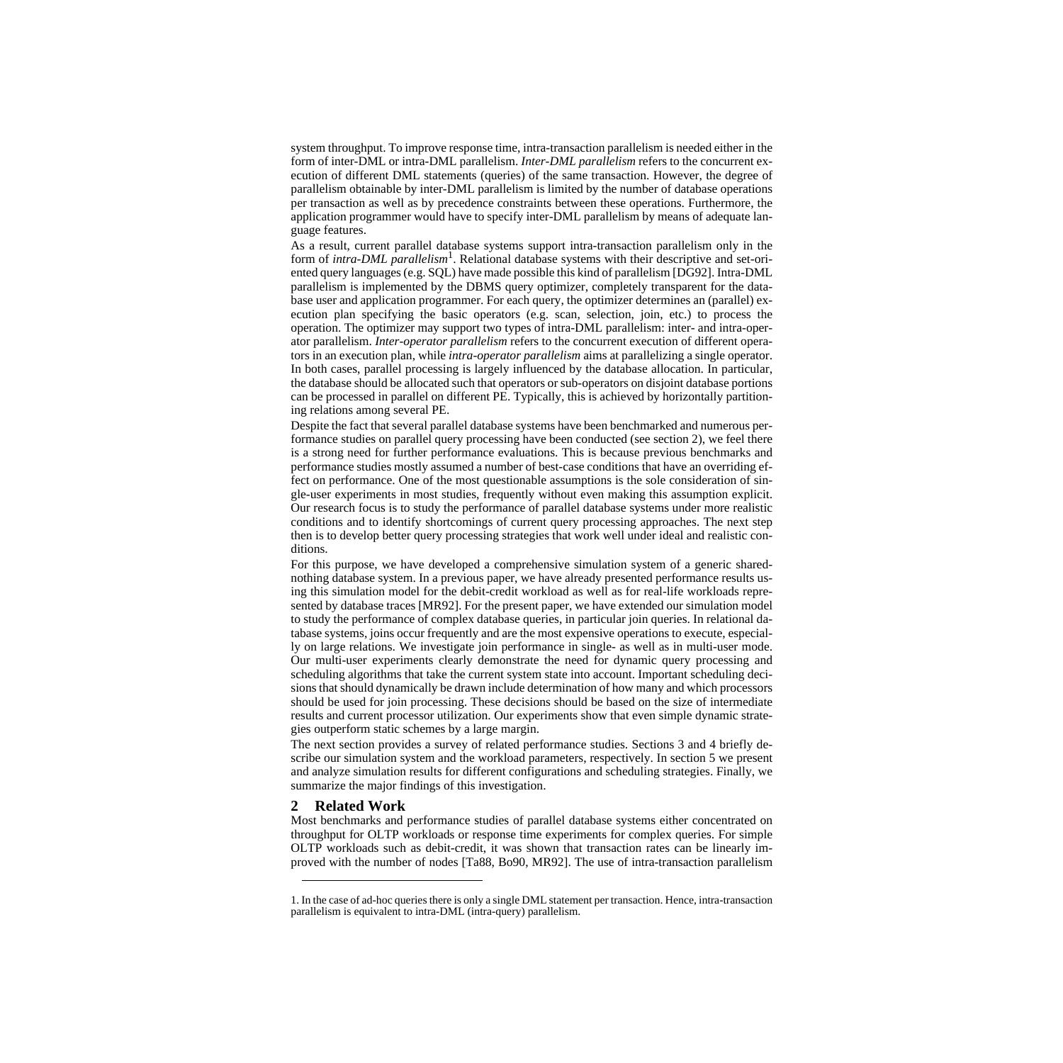system throughput. To improve response time, intra-transaction parallelism is needed either in the form of inter-DML or intra-DML parallelism. *Inter-DML parallelism* refers to the concurrent execution of different DML statements (queries) of the same transaction. However, the degree of parallelism obtainable by inter-DML parallelism is limited by the number of database operations per transaction as well as by precedence constraints between these operations. Furthermore, the application programmer would have to specify inter-DML parallelism by means of adequate language features.

As a result, current parallel database systems support intra-transaction parallelism only in the form of *intra-DML parallelism*1. Relational database systems with their descriptive and set-oriented query languages (e.g. SQL) have made possible this kind of parallelism [DG92]. Intra-DML parallelism is implemented by the DBMS query optimizer, completely transparent for the database user and application programmer. For each query, the optimizer determines an (parallel) execution plan specifying the basic operators (e.g. scan, selection, join, etc.) to process the operation. The optimizer may support two types of intra-DML parallelism: inter- and intra-operator parallelism. *Inter-operator parallelism* refers to the concurrent execution of different operators in an execution plan, while *intra-operator parallelism* aims at parallelizing a single operator. In both cases, parallel processing is largely influenced by the database allocation. In particular, the database should be allocated such that operators or sub-operators on disjoint database portions can be processed in parallel on different PE. Typically, this is achieved by horizontally partitioning relations among several PE.

Despite the fact that several parallel database systems have been benchmarked and numerous performance studies on parallel query processing have been conducted (see section 2), we feel there is a strong need for further performance evaluations. This is because previous benchmarks and performance studies mostly assumed a number of best-case conditions that have an overriding effect on performance. One of the most questionable assumptions is the sole consideration of single-user experiments in most studies, frequently without even making this assumption explicit. Our research focus is to study the performance of parallel database systems under more realistic conditions and to identify shortcomings of current query processing approaches. The next step then is to develop better query processing strategies that work well under ideal and realistic conditions.

For this purpose, we have developed a comprehensive simulation system of a generic sharednothing database system. In a previous paper, we have already presented performance results using this simulation model for the debit-credit workload as well as for real-life workloads represented by database traces [MR92]. For the present paper, we have extended our simulation model to study the performance of complex database queries, in particular join queries. In relational database systems, joins occur frequently and are the most expensive operations to execute, especially on large relations. We investigate join performance in single- as well as in multi-user mode. Our multi-user experiments clearly demonstrate the need for dynamic query processing and scheduling algorithms that take the current system state into account. Important scheduling decisions that should dynamically be drawn include determination of how many and which processors should be used for join processing. These decisions should be based on the size of intermediate results and current processor utilization. Our experiments show that even simple dynamic strategies outperform static schemes by a large margin.

The next section provides a survey of related performance studies. Sections 3 and 4 briefly describe our simulation system and the workload parameters, respectively. In section 5 we present and analyze simulation results for different configurations and scheduling strategies. Finally, we summarize the major findings of this investigation.

## **2 Related Work**

Most benchmarks and performance studies of parallel database systems either concentrated on throughput for OLTP workloads or response time experiments for complex queries. For simple OLTP workloads such as debit-credit, it was shown that transaction rates can be linearly improved with the number of nodes [Ta88, Bo90, MR92]. The use of intra-transaction parallelism

<sup>1.</sup> In the case of ad-hoc queries there is only a single DML statement per transaction. Hence, intra-transaction parallelism is equivalent to intra-DML (intra-query) parallelism.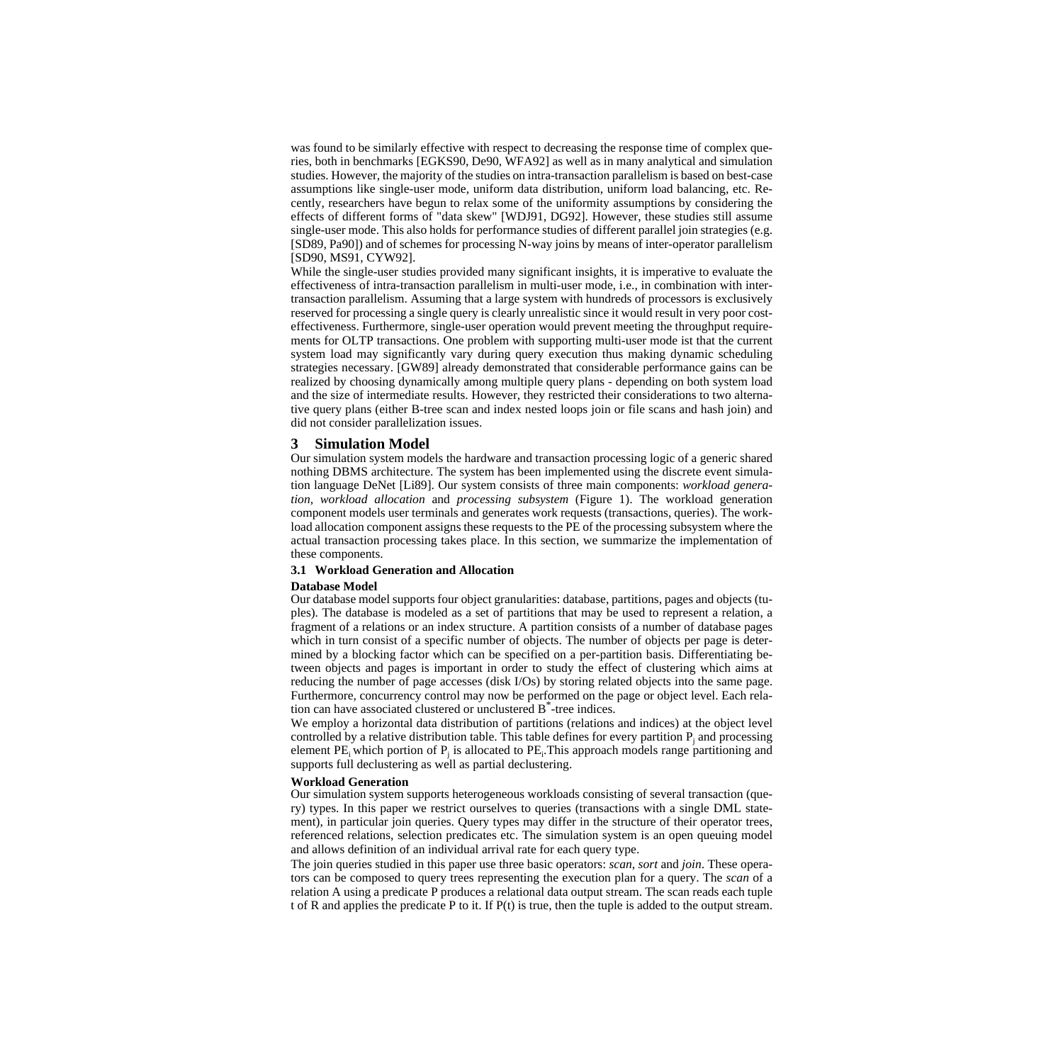was found to be similarly effective with respect to decreasing the response time of complex queries, both in benchmarks [EGKS90, De90, WFA92] as well as in many analytical and simulation studies. However, the majority of the studies on intra-transaction parallelism is based on best-case assumptions like single-user mode, uniform data distribution, uniform load balancing, etc. Recently, researchers have begun to relax some of the uniformity assumptions by considering the effects of different forms of "data skew" [WDJ91, DG92]. However, these studies still assume single-user mode. This also holds for performance studies of different parallel join strategies (e.g. [SD89, Pa90]) and of schemes for processing N-way joins by means of inter-operator parallelism [SD90, MS91, CYW92].

While the single-user studies provided many significant insights, it is imperative to evaluate the effectiveness of intra-transaction parallelism in multi-user mode, i.e., in combination with intertransaction parallelism. Assuming that a large system with hundreds of processors is exclusively reserved for processing a single query is clearly unrealistic since it would result in very poor costeffectiveness. Furthermore, single-user operation would prevent meeting the throughput requirements for OLTP transactions. One problem with supporting multi-user mode ist that the current system load may significantly vary during query execution thus making dynamic scheduling strategies necessary. [GW89] already demonstrated that considerable performance gains can be realized by choosing dynamically among multiple query plans - depending on both system load and the size of intermediate results. However, they restricted their considerations to two alternative query plans (either B-tree scan and index nested loops join or file scans and hash join) and did not consider parallelization issues.

## **3 Simulation Model**

Our simulation system models the hardware and transaction processing logic of a generic shared nothing DBMS architecture. The system has been implemented using the discrete event simulation language DeNet [Li89]. Our system consists of three main components: *workload generation, workload allocation* and *processing subsystem* (Figure 1). The workload generation component models user terminals and generates work requests (transactions, queries). The workload allocation component assigns these requests to the PE of the processing subsystem where the actual transaction processing takes place. In this section, we summarize the implementation of these components.

# **3.1 Workload Generation and Allocation**

## **Database Model**

Our database model supports four object granularities: database, partitions, pages and objects (tuples). The database is modeled as a set of partitions that may be used to represent a relation, a fragment of a relations or an index structure. A partition consists of a number of database pages which in turn consist of a specific number of objects. The number of objects per page is determined by a blocking factor which can be specified on a per-partition basis. Differentiating between objects and pages is important in order to study the effect of clustering which aims at reducing the number of page accesses (disk I/Os) by storing related objects into the same page. Furthermore, concurrency control may now be performed on the page or object level. Each relation can have associated clustered or unclustered B\*-tree indices.

We employ a horizontal data distribution of partitions (relations and indices) at the object level controlled by a relative distribution table. This table defines for every partition  $P_i$  and processing element PE<sub>i</sub> which portion of P<sub>j</sub> is allocated to PE<sub>i</sub>. This approach models range partitioning and supports full declustering as well as partial declustering.

# **Workload Generation**

Our simulation system supports heterogeneous workloads consisting of several transaction (query) types. In this paper we restrict ourselves to queries (transactions with a single DML statement), in particular join queries. Query types may differ in the structure of their operator trees, referenced relations, selection predicates etc. The simulation system is an open queuing model and allows definition of an individual arrival rate for each query type.

The join queries studied in this paper use three basic operators: *scan*, *sort* and *join*. These operators can be composed to query trees representing the execution plan for a query. The *scan* of a relation A using a predicate P produces a relational data output stream. The scan reads each tuple t of R and applies the predicate P to it. If  $P(t)$  is true, then the tuple is added to the output stream.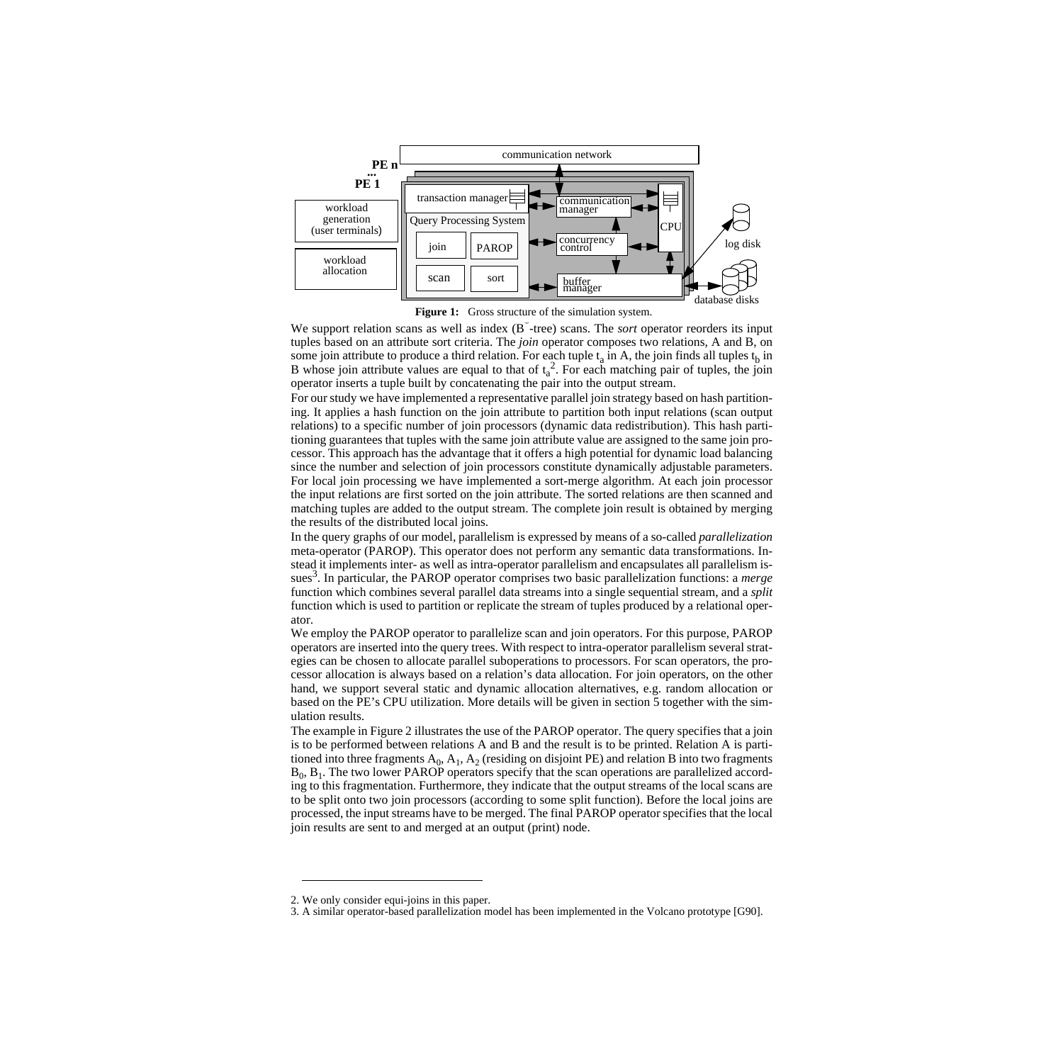

Figure 1: Gross structure of the simulation system.

We support relation scans as well as index (B<sup>\*</sup>-tree) scans. The *sort* operator reorders its input tuples based on an attribute sort criteria. The *join* operator composes two relations, A and B, on some join attribute to produce a third relation. For each tuple  $t_a$  in A, the join finds all tuples  $t_b$  in B whose join attribute values are equal to that of  $t_a^2$ . For each matching pair of tuples, the join operator inserts a tuple built by concatenating the pair into the output stream.

For our study we have implemented a representative parallel join strategy based on hash partitioning. It applies a hash function on the join attribute to partition both input relations (scan output relations) to a specific number of join processors (dynamic data redistribution). This hash partitioning guarantees that tuples with the same join attribute value are assigned to the same join processor. This approach has the advantage that it offers a high potential for dynamic load balancing since the number and selection of join processors constitute dynamically adjustable parameters. For local join processing we have implemented a sort-merge algorithm. At each join processor the input relations are first sorted on the join attribute. The sorted relations are then scanned and matching tuples are added to the output stream. The complete join result is obtained by merging the results of the distributed local joins.

In the query graphs of our model, parallelism is expressed by means of a so-called *parallelization* meta-operator (PAROP). This operator does not perform any semantic data transformations. Instead it implements inter- as well as intra-operator parallelism and encapsulates all parallelism issues3. In particular, the PAROP operator comprises two basic parallelization functions: a *merge* function which combines several parallel data streams into a single sequential stream, and a *split* function which is used to partition or replicate the stream of tuples produced by a relational operator.

We employ the PAROP operator to parallelize scan and join operators. For this purpose, PAROP operators are inserted into the query trees. With respect to intra-operator parallelism several strategies can be chosen to allocate parallel suboperations to processors. For scan operators, the processor allocation is always based on a relation's data allocation. For join operators, on the other hand, we support several static and dynamic allocation alternatives, e.g. random allocation or based on the PE's CPU utilization. More details will be given in section 5 together with the simulation results.

The example in Figure 2 illustrates the use of the PAROP operator. The query specifies that a join is to be performed between relations A and B and the result is to be printed. Relation A is partitioned into three fragments  $A_0$ ,  $A_1$ ,  $A_2$  (residing on disjoint PE) and relation B into two fragments  $B_0$ ,  $B_1$ . The two lower PAROP operators specify that the scan operations are parallelized according to this fragmentation. Furthermore, they indicate that the output streams of the local scans are to be split onto two join processors (according to some split function). Before the local joins are processed, the input streams have to be merged. The final PAROP operator specifies that the local join results are sent to and merged at an output (print) node.

<sup>2.</sup> We only consider equi-joins in this paper.

<sup>3.</sup> A similar operator-based parallelization model has been implemented in the Volcano prototype [G90].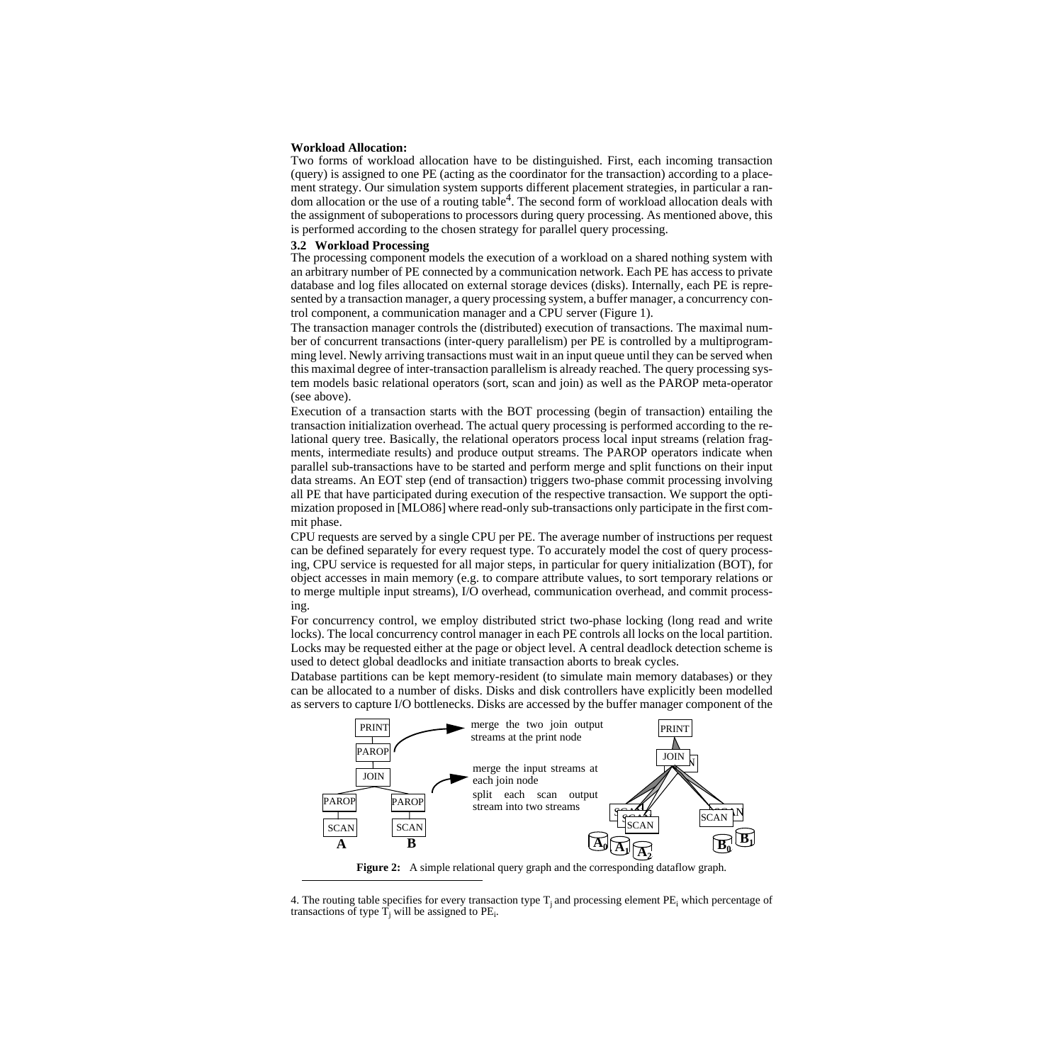#### **Workload Allocation:**

Two forms of workload allocation have to be distinguished. First, each incoming transaction (query) is assigned to one PE (acting as the coordinator for the transaction) according to a placement strategy. Our simulation system supports different placement strategies, in particular a random allocation or the use of a routing table<sup>4</sup>. The second form of workload allocation deals with the assignment of suboperations to processors during query processing. As mentioned above, this is performed according to the chosen strategy for parallel query processing.

#### **3.2 Workload Processing**

The processing component models the execution of a workload on a shared nothing system with an arbitrary number of PE connected by a communication network. Each PE has access to private database and log files allocated on external storage devices (disks). Internally, each PE is represented by a transaction manager, a query processing system, a buffer manager, a concurrency control component, a communication manager and a CPU server (Figure 1).

The transaction manager controls the (distributed) execution of transactions. The maximal number of concurrent transactions (inter-query parallelism) per PE is controlled by a multiprogramming level. Newly arriving transactions must wait in an input queue until they can be served when this maximal degree of inter-transaction parallelism is already reached. The query processing system models basic relational operators (sort, scan and join) as well as the PAROP meta-operator (see above).

Execution of a transaction starts with the BOT processing (begin of transaction) entailing the transaction initialization overhead. The actual query processing is performed according to the relational query tree. Basically, the relational operators process local input streams (relation fragments, intermediate results) and produce output streams. The PAROP operators indicate when parallel sub-transactions have to be started and perform merge and split functions on their input data streams. An EOT step (end of transaction) triggers two-phase commit processing involving all PE that have participated during execution of the respective transaction. We support the optimization proposed in [MLO86] where read-only sub-transactions only participate in the first commit phase.

CPU requests are served by a single CPU per PE. The average number of instructions per request can be defined separately for every request type. To accurately model the cost of query processing, CPU service is requested for all major steps, in particular for query initialization (BOT), for object accesses in main memory (e.g. to compare attribute values, to sort temporary relations or to merge multiple input streams), I/O overhead, communication overhead, and commit processing.

For concurrency control, we employ distributed strict two-phase locking (long read and write locks). The local concurrency control manager in each PE controls all locks on the local partition. Locks may be requested either at the page or object level. A central deadlock detection scheme is used to detect global deadlocks and initiate transaction aborts to break cycles.

Database partitions can be kept memory-resident (to simulate main memory databases) or they can be allocated to a number of disks. Disks and disk controllers have explicitly been modelled as servers to capture I/O bottlenecks. Disks are accessed by the buffer manager component of the



**Figure 2:** A simple relational query graph and the corresponding dataflow graph

4. The routing table specifies for every transaction type  $T_i$  and processing element PE<sub>i</sub> which percentage of transactions of type  $T_j$  will be assigned to PE<sub>i</sub>.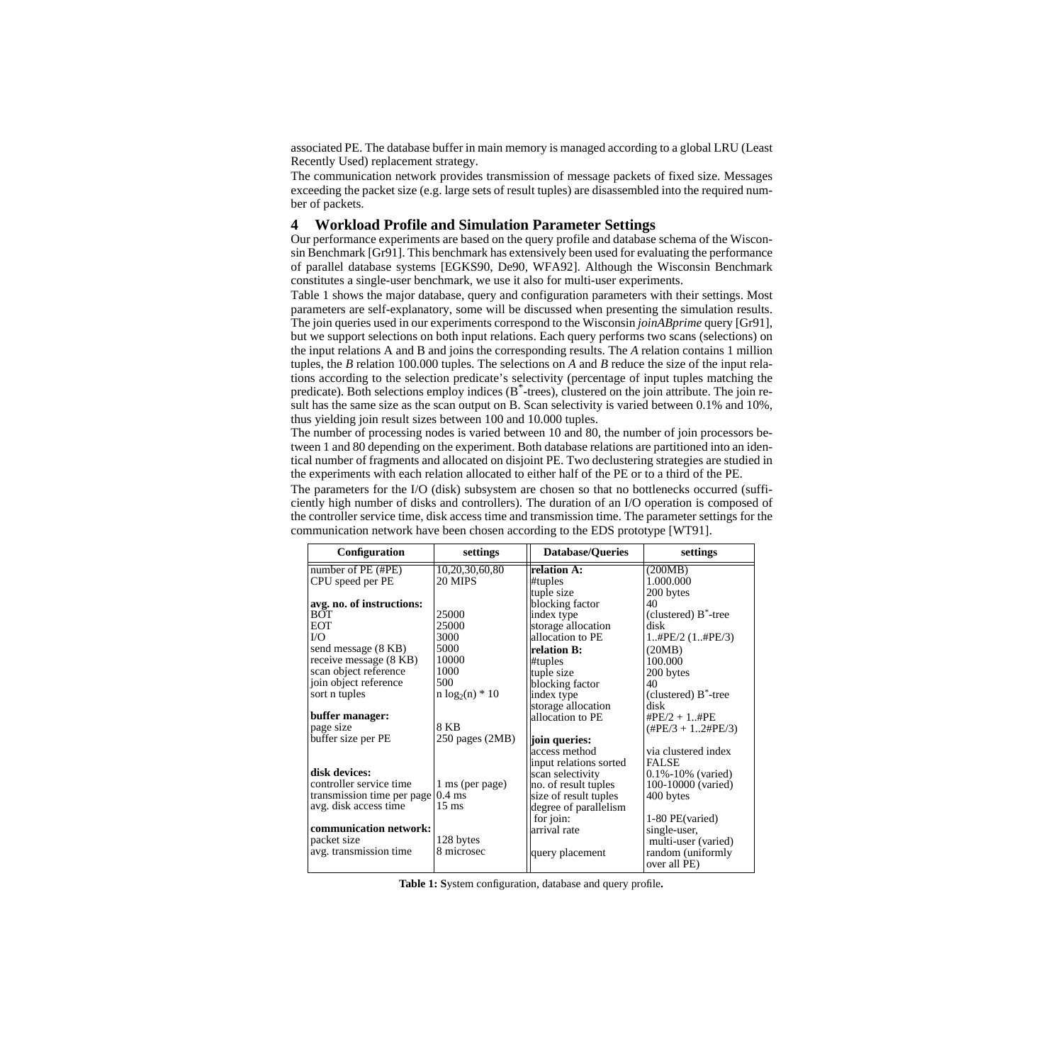associated PE. The database buffer in main memory is managed according to a global LRU (Least Recently Used) replacement strategy.

The communication network provides transmission of message packets of fixed size. Messages exceeding the packet size (e.g. large sets of result tuples) are disassembled into the required number of packets.

# **4 Workload Profile and Simulation Parameter Settings**

Our performance experiments are based on the query profile and database schema of the Wisconsin Benchmark [Gr91]. This benchmark has extensively been used for evaluating the performance of parallel database systems [EGKS90, De90, WFA92]. Although the Wisconsin Benchmark constitutes a single-user benchmark, we use it also for multi-user experiments.

Table 1 shows the major database, query and configuration parameters with their settings. Most parameters are self-explanatory, some will be discussed when presenting the simulation results. The join queries used in our experiments correspond to the Wisconsin *joinABprime* query [Gr91], but we support selections on both input relations. Each query performs two scans (selections) on the input relations A and B and joins the corresponding results. The *A* relation contains 1 million tuples, the *B* relation 100.000 tuples. The selections on *A* and *B* reduce the size of the input relations according to the selection predicate's selectivity (percentage of input tuples matching the predicate). Both selections employ indices (B\*-trees), clustered on the join attribute. The join result has the same size as the scan output on B. Scan selectivity is varied between 0.1% and 10%, thus yielding join result sizes between 100 and 10.000 tuples.

The number of processing nodes is varied between 10 and 80, the number of join processors between 1 and 80 depending on the experiment. Both database relations are partitioned into an identical number of fragments and allocated on disjoint PE. Two declustering strategies are studied in the experiments with each relation allocated to either half of the PE or to a third of the PE.

The parameters for the I/O (disk) subsystem are chosen so that no bottlenecks occurred (sufficiently high number of disks and controllers). The duration of an I/O operation is composed of the controller service time, disk access time and transmission time. The parameter settings for the communication network have been chosen according to the EDS prototype [WT91].

| Configuration                                 | settings           | <b>Database/Oueries</b> | settings                           |  |
|-----------------------------------------------|--------------------|-------------------------|------------------------------------|--|
| number of PE (#PE)                            | 10,20,30,60,80     | <b>relation A:</b>      | (200MB)                            |  |
| CPU speed per PE                              | 20 MIPS            | $\#tuples$              | 1.000.000                          |  |
|                                               |                    | tuple size              | 200 bytes                          |  |
| avg. no. of instructions:                     |                    | blocking factor         | 40                                 |  |
| <b>BOT</b>                                    | 25000              | index type              | (clustered) $B^*$ -tree            |  |
| <b>EOT</b>                                    | 25000              | storage allocation      | disk                               |  |
| I/O                                           | 3000               | allocation to PE        | $1#PE/2$ $(1#PE/3)$                |  |
| send message (8 KB)                           | 5000               | relation B:             | (20MB)                             |  |
| receive message (8 KB)                        | 10000              | #tuples                 | 100.000                            |  |
| scan object reference                         | 1000               | tuple size              | 200 bytes                          |  |
| join object reference                         | 500                | blocking factor         | 40                                 |  |
| sort n tuples                                 | $n \log_2(n) * 10$ | index type              | (clustered) B <sup>*</sup> -tree   |  |
|                                               |                    | storage allocation      | disk                               |  |
| buffer manager:                               |                    | allocation to PE        | $\text{HPE}/2 + 1\text{HPE}$       |  |
| page size                                     | 8 KB               |                         | $(\text{HPE}/3 + 12 \text{HPE}/3)$ |  |
| buffer size per PE                            | 250 pages (2MB)    | join queries:           |                                    |  |
|                                               |                    | laccess method          | via clustered index                |  |
|                                               |                    | input relations sorted  | <b>FALSE</b>                       |  |
| disk devices:                                 |                    | scan selectivity        | $0.1\% - 10\%$ (varied)            |  |
| controller service time                       | 1 ms (per page)    | no. of result tuples    | 100-10000 (varied)                 |  |
| transmission time per page $(0.4 \text{ ms})$ |                    | size of result tuples   | 400 bytes                          |  |
| avg. disk access time                         | $15 \text{ ms}$    | degree of parallelism   |                                    |  |
|                                               |                    | for join:               | 1-80 PE(varied)                    |  |
| communication network:                        |                    | larrival rate           | single-user,                       |  |
| packet size                                   | 128 bytes          |                         | multi-user (varied)                |  |
| avg. transmission time                        | 8 microsec         | query placement         | random (uniformly<br>over all PE)  |  |

**Table 1: S**ystem configuration, database and query profile**.**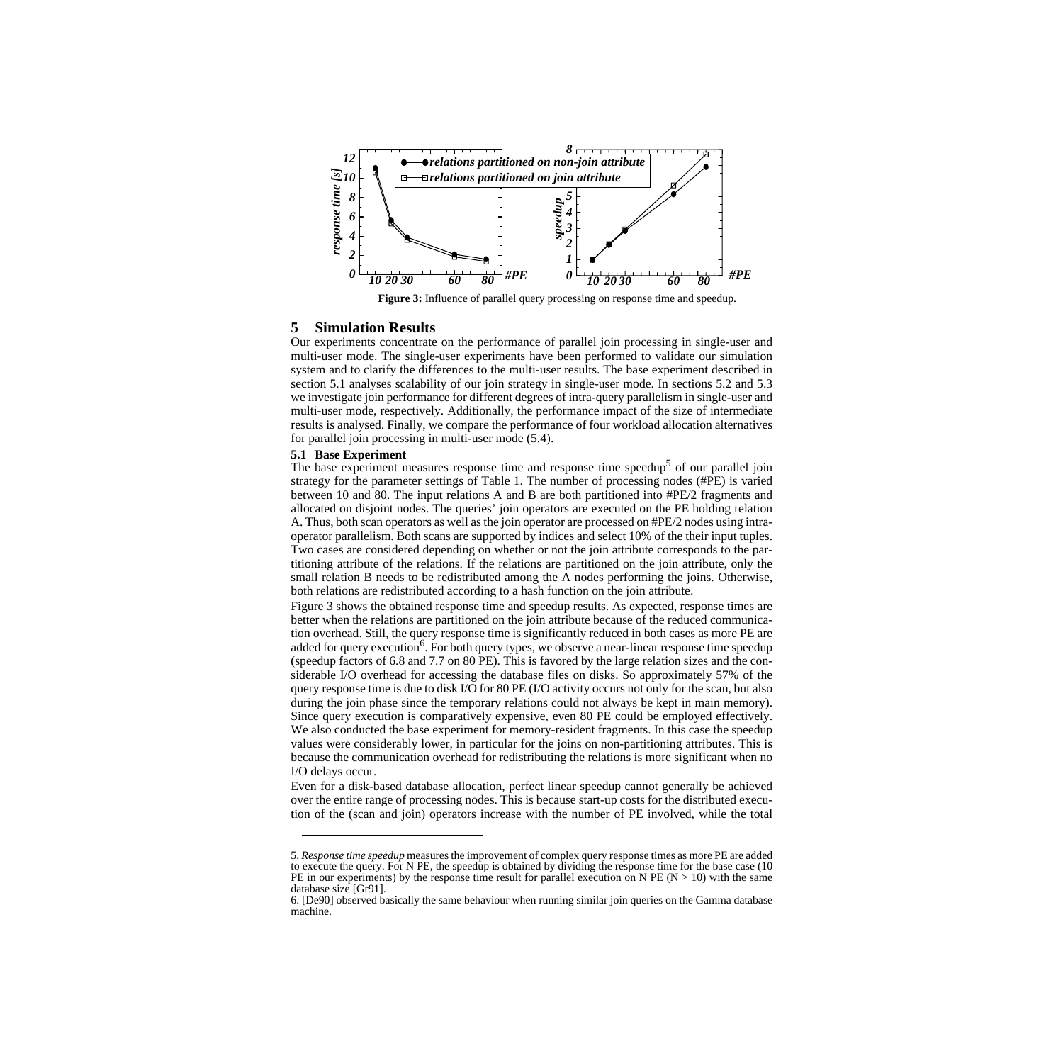

**Figure 3:** Influence of parallel query processing on response time and speedup.

# **5 Simulation Results**

Our experiments concentrate on the performance of parallel join processing in single-user and multi-user mode. The single-user experiments have been performed to validate our simulation system and to clarify the differences to the multi-user results. The base experiment described in section 5.1 analyses scalability of our join strategy in single-user mode. In sections 5.2 and 5.3 we investigate join performance for different degrees of intra-query parallelism in single-user and multi-user mode, respectively. Additionally, the performance impact of the size of intermediate results is analysed. Finally, we compare the performance of four workload allocation alternatives for parallel join processing in multi-user mode (5.4).

#### **5.1 Base Experiment**

The base experiment measures response time and response time speedup<sup>5</sup> of our parallel join strategy for the parameter settings of Table 1. The number of processing nodes (#PE) is varied between 10 and 80. The input relations A and B are both partitioned into #PE/2 fragments and allocated on disjoint nodes. The queries' join operators are executed on the PE holding relation A. Thus, both scan operators as well as the join operator are processed on #PE/2 nodes using intraoperator parallelism. Both scans are supported by indices and select 10% of the their input tuples. Two cases are considered depending on whether or not the join attribute corresponds to the partitioning attribute of the relations. If the relations are partitioned on the join attribute, only the small relation B needs to be redistributed among the A nodes performing the joins. Otherwise, both relations are redistributed according to a hash function on the join attribute.

Figure 3 shows the obtained response time and speedup results. As expected, response times are better when the relations are partitioned on the join attribute because of the reduced communication overhead. Still, the query response time is significantly reduced in both cases as more PE are added for query execution<sup>6</sup>. For both query types, we observe a near-linear response time speedup (speedup factors of 6.8 and 7.7 on 80 PE). This is favored by the large relation sizes and the considerable I/O overhead for accessing the database files on disks. So approximately 57% of the query response time is due to disk I/O for 80 PE (I/O activity occurs not only for the scan, but also during the join phase since the temporary relations could not always be kept in main memory). Since query execution is comparatively expensive, even 80 PE could be employed effectively. We also conducted the base experiment for memory-resident fragments. In this case the speedup values were considerably lower, in particular for the joins on non-partitioning attributes. This is because the communication overhead for redistributing the relations is more significant when no I/O delays occur.

Even for a disk-based database allocation, perfect linear speedup cannot generally be achieved over the entire range of processing nodes. This is because start-up costs for the distributed execution of the (scan and join) operators increase with the number of PE involved, while the total

<sup>5.</sup> *Response time speedup* measures the improvement of complex query response times as more PE are added to execute the query. For N PE, the speedup is obtained by dividing the response time for the base case (10 PE in our experiments) by the response time result for parallel execution on N PE ( $N > 10$ ) with the same database size [Gr91].

<sup>6. [</sup>De90] observed basically the same behaviour when running similar join queries on the Gamma database machine.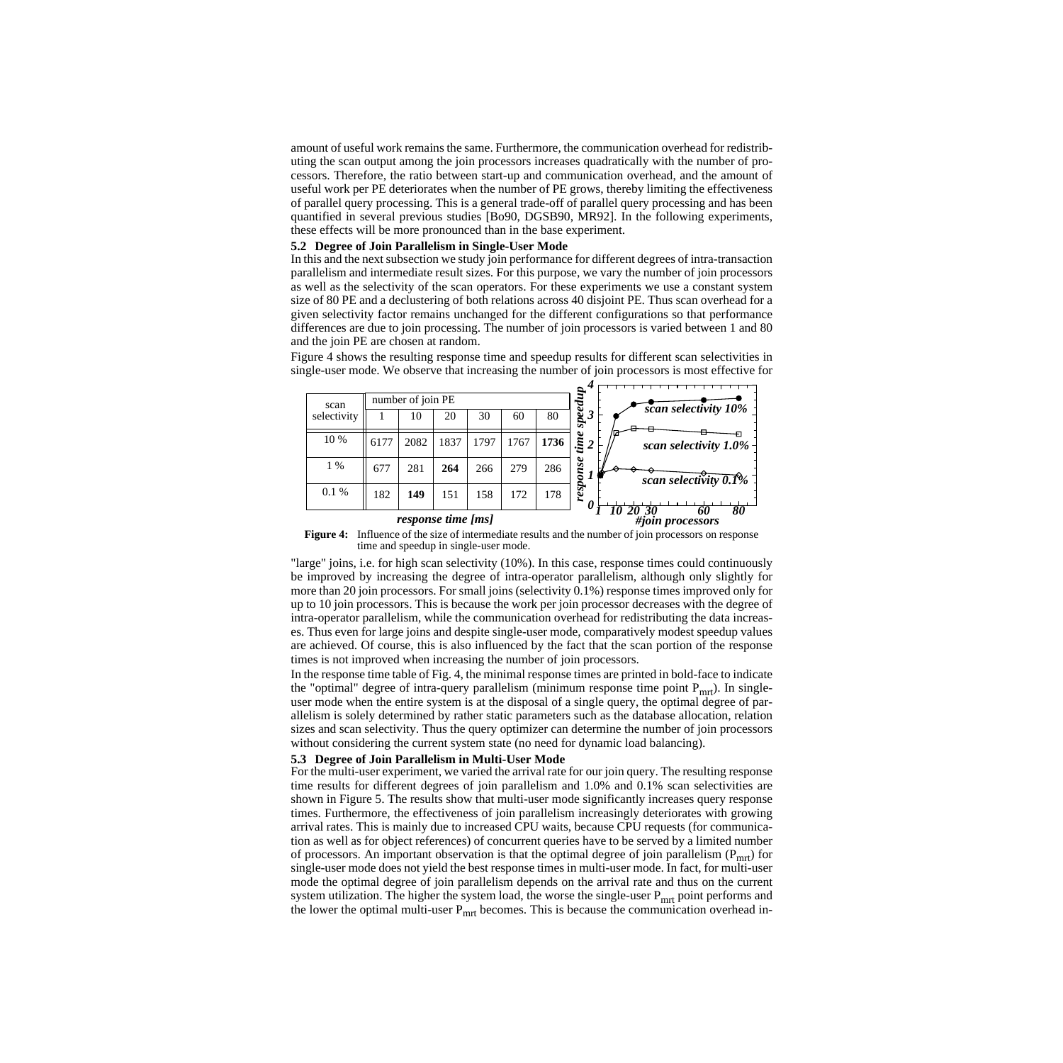amount of useful work remains the same. Furthermore, the communication overhead for redistributing the scan output among the join processors increases quadratically with the number of processors. Therefore, the ratio between start-up and communication overhead, and the amount of useful work per PE deteriorates when the number of PE grows, thereby limiting the effectiveness of parallel query processing. This is a general trade-off of parallel query processing and has been quantified in several previous studies [Bo90, DGSB90, MR92]. In the following experiments, these effects will be more pronounced than in the base experiment.

#### **5.2 Degree of Join Parallelism in Single-User Mode**

In this and the next subsection we study join performance for different degrees of intra-transaction parallelism and intermediate result sizes. For this purpose, we vary the number of join processors as well as the selectivity of the scan operators. For these experiments we use a constant system size of 80 PE and a declustering of both relations across 40 disjoint PE. Thus scan overhead for a given selectivity factor remains unchanged for the different configurations so that performance differences are due to join processing. The number of join processors is varied between 1 and 80 and the join PE are chosen at random.

Figure 4 shows the resulting response time and speedup results for different scan selectivities in single-user mode. We observe that increasing the number of join processors is most effective for

| scan                               |      | number of join PE |      |      |      |                                    |                                 |                                |
|------------------------------------|------|-------------------|------|------|------|------------------------------------|---------------------------------|--------------------------------|
| selectivity                        |      | 10                | 20   | 30   | 60   | 80                                 | speedup<br>$\boldsymbol{\beta}$ | scan selectivity 10%           |
| 10 %                               | 6177 | 2082              | 1837 | 1797 | 1767 | 1736                               | time<br>$\overline{2}$          | scan selectivity $1.0\%$ -     |
| 1 %                                | 677  | 281               | 264  | 266  | 279  | 286                                | response                        | scan selectivity $0.\hat{I}\%$ |
| 0.1%                               | 182  | 149               | 151  | 158  | 172  | 178                                | 0                               |                                |
| <i>response time</i> [ <i>ms</i> ] |      |                   |      |      |      | 80<br>60<br>30<br>#join processors |                                 |                                |

**Figure 4:** Influence of the size of intermediate results and the number of join processors on response time and speedup in single-user mode.

"large" joins, i.e. for high scan selectivity (10%). In this case, response times could continuously be improved by increasing the degree of intra-operator parallelism, although only slightly for more than 20 join processors. For small joins (selectivity 0.1%) response times improved only for up to 10 join processors. This is because the work per join processor decreases with the degree of intra-operator parallelism, while the communication overhead for redistributing the data increases. Thus even for large joins and despite single-user mode, comparatively modest speedup values are achieved. Of course, this is also influenced by the fact that the scan portion of the response times is not improved when increasing the number of join processors.

In the response time table of Fig. 4, the minimal response times are printed in bold-face to indicate the "optimal" degree of intra-query parallelism (minimum response time point  $P<sub>mrt</sub>$ ). In singleuser mode when the entire system is at the disposal of a single query, the optimal degree of parallelism is solely determined by rather static parameters such as the database allocation, relation sizes and scan selectivity. Thus the query optimizer can determine the number of join processors without considering the current system state (no need for dynamic load balancing).

#### **5.3 Degree of Join Parallelism in Multi-User Mode**

For the multi-user experiment, we varied the arrival rate for our join query. The resulting response time results for different degrees of join parallelism and 1.0% and 0.1% scan selectivities are shown in Figure 5. The results show that multi-user mode significantly increases query response times. Furthermore, the effectiveness of join parallelism increasingly deteriorates with growing arrival rates. This is mainly due to increased CPU waits, because CPU requests (for communication as well as for object references) of concurrent queries have to be served by a limited number of processors. An important observation is that the optimal degree of join parallelism ( $P<sub>mrt</sub>$ ) for single-user mode does not yield the best response times in multi-user mode. In fact, for multi-user mode the optimal degree of join parallelism depends on the arrival rate and thus on the current system utilization. The higher the system load, the worse the single-user  $P<sub>mrt</sub>$  point performs and the lower the optimal multi-user  $P<sub>mrt</sub>$  becomes. This is because the communication overhead in-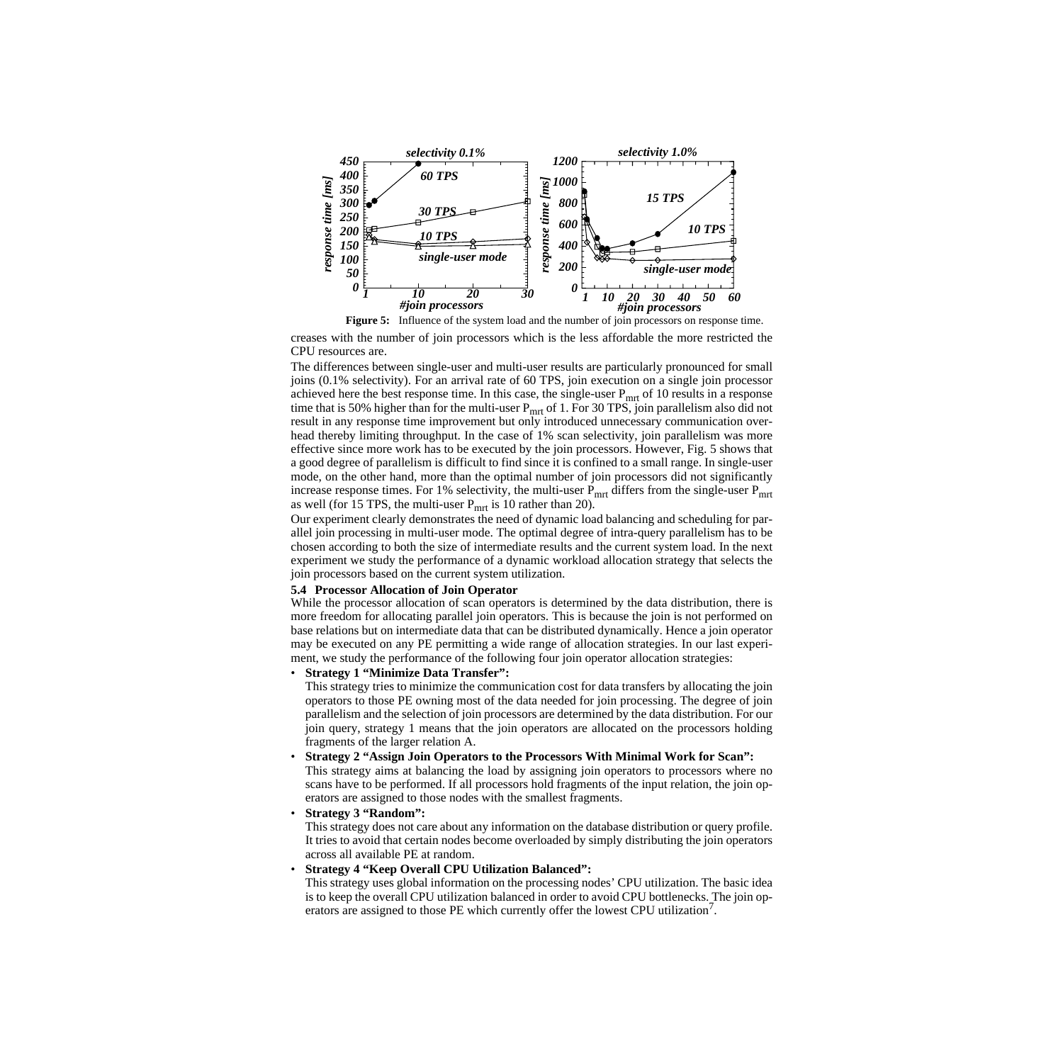

creases with the number of join processors which is the less affordable the more restricted the CPU resources are.

The differences between single-user and multi-user results are particularly pronounced for small joins (0.1% selectivity). For an arrival rate of 60 TPS, join execution on a single join processor achieved here the best response time. In this case, the single-user  $P<sub>mrt</sub>$  of 10 results in a response time that is 50% higher than for the multi-user  $P<sub>mrt</sub>$  of 1. For 30 TPS, join parallelism also did not result in any response time improvement but only introduced unnecessary communication overhead thereby limiting throughput. In the case of 1% scan selectivity, join parallelism was more effective since more work has to be executed by the join processors. However, Fig. 5 shows that a good degree of parallelism is difficult to find since it is confined to a small range. In single-user mode, on the other hand, more than the optimal number of join processors did not significantly increase response times. For 1% selectivity, the multi-user  $\dot{P}_{mrt}$  differs from the single-user  $P_{mrt}$ as well (for 15 TPS, the multi-user  $P<sub>mrt</sub>$  is 10 rather than 20).

Our experiment clearly demonstrates the need of dynamic load balancing and scheduling for parallel join processing in multi-user mode. The optimal degree of intra-query parallelism has to be chosen according to both the size of intermediate results and the current system load. In the next experiment we study the performance of a dynamic workload allocation strategy that selects the join processors based on the current system utilization.

## **5.4 Processor Allocation of Join Operator**

While the processor allocation of scan operators is determined by the data distribution, there is more freedom for allocating parallel join operators. This is because the join is not performed on base relations but on intermediate data that can be distributed dynamically. Hence a join operator may be executed on any PE permitting a wide range of allocation strategies. In our last experiment, we study the performance of the following four join operator allocation strategies:

#### • **Strategy 1 "Minimize Data Transfer":**

This strategy tries to minimize the communication cost for data transfers by allocating the join operators to those PE owning most of the data needed for join processing. The degree of join parallelism and the selection of join processors are determined by the data distribution. For our join query, strategy 1 means that the join operators are allocated on the processors holding fragments of the larger relation A.

#### • **Strategy 2 "Assign Join Operators to the Processors With Minimal Work for Scan":**

This strategy aims at balancing the load by assigning join operators to processors where no scans have to be performed. If all processors hold fragments of the input relation, the join operators are assigned to those nodes with the smallest fragments.

## • **Strategy 3 "Random":**

This strategy does not care about any information on the database distribution or query profile. It tries to avoid that certain nodes become overloaded by simply distributing the join operators across all available PE at random.

#### • **Strategy 4 "Keep Overall CPU Utilization Balanced":**

This strategy uses global information on the processing nodes' CPU utilization. The basic idea is to keep the overall CPU utilization balanced in order to avoid CPU bottlenecks. The join operators are assigned to those PE which currently offer the lowest CPU utilization<sup>7</sup>.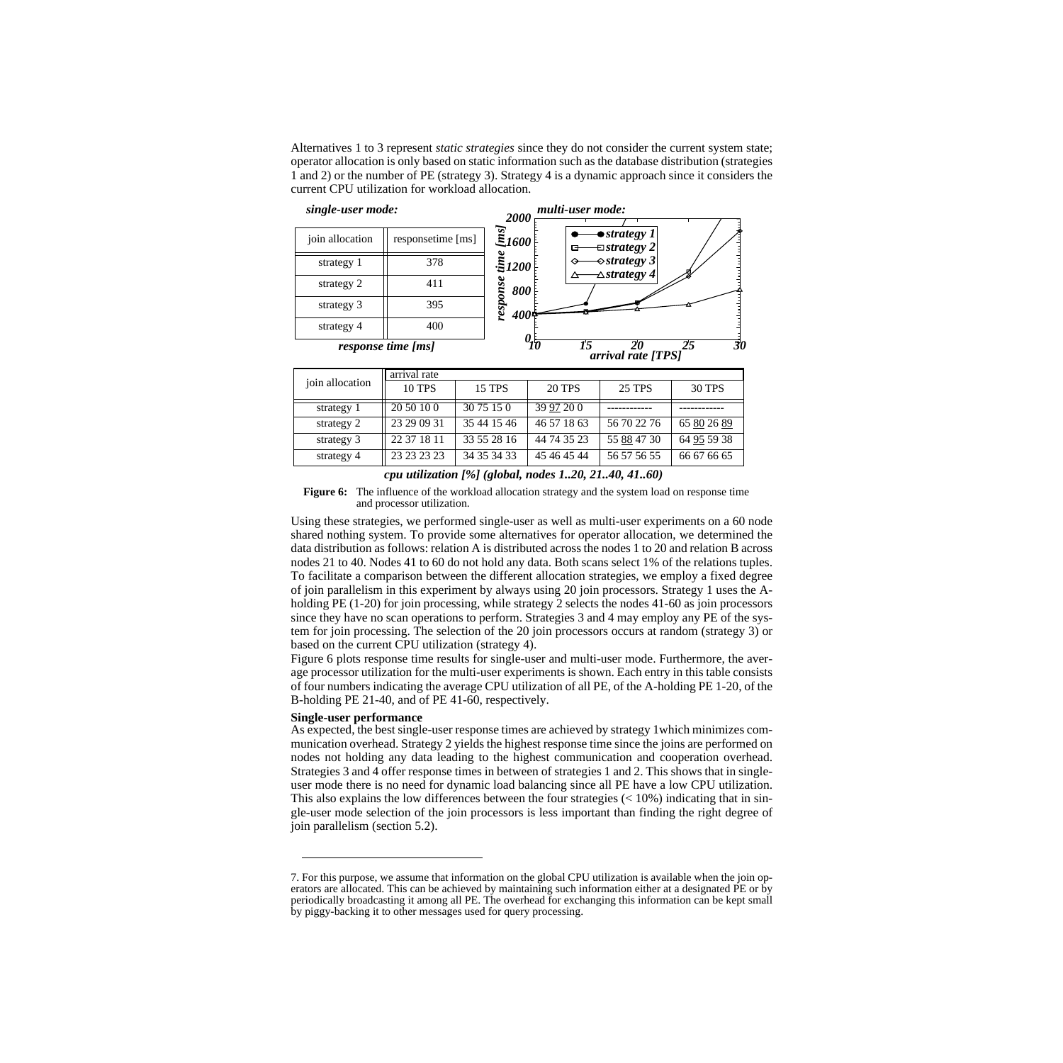Alternatives 1 to 3 represent *static strategies* since they do not consider the current system state; operator allocation is only based on static information such as the database distribution (strategies 1 and 2) or the number of PE (strategy 3). Strategy 4 is a dynamic approach since it considers the current CPU utilization for workload allocation.



| join allocation | arrival rate  |               |             |             |             |  |  |  |  |
|-----------------|---------------|---------------|-------------|-------------|-------------|--|--|--|--|
|                 | <b>10 TPS</b> | <b>15 TPS</b> | 20 TPS      | 25 TPS      | 30 TPS      |  |  |  |  |
| strategy 1      | 20 50 10 0    | 30.75.15.0    | 39 97 20 0  |             |             |  |  |  |  |
| strategy 2      | 23 29 09 31   | 35 44 15 46   | 46 57 18 63 | 56 70 22 76 | 65 80 26 89 |  |  |  |  |
| strategy 3      | 22 37 18 11   | 33 55 28 16   | 44 74 35 23 | 55 88 47 30 | 64 95 59 38 |  |  |  |  |
| strategy 4      | 23 23 23 23   | 34 35 34 33   | 45 46 45 44 | 56 57 56 55 | 66 67 66 65 |  |  |  |  |

*cpu utilization [%] (global, nodes 1..20, 21..40, 41..60)*

Using these strategies, we performed single-user as well as multi-user experiments on a 60 node shared nothing system. To provide some alternatives for operator allocation, we determined the data distribution as follows: relation A is distributed across the nodes 1 to 20 and relation B across nodes 21 to 40. Nodes 41 to 60 do not hold any data. Both scans select 1% of the relations tuples. To facilitate a comparison between the different allocation strategies, we employ a fixed degree of join parallelism in this experiment by always using 20 join processors. Strategy 1 uses the Aholding PE (1-20) for join processing, while strategy 2 selects the nodes 41-60 as join processors since they have no scan operations to perform. Strategies 3 and 4 may employ any PE of the system for join processing. The selection of the 20 join processors occurs at random (strategy 3) or based on the current CPU utilization (strategy 4).

Figure 6 plots response time results for single-user and multi-user mode. Furthermore, the average processor utilization for the multi-user experiments is shown. Each entry in this table consists of four numbers indicating the average CPU utilization of all PE, of the A-holding PE 1-20, of the B-holding PE 21-40, and of PE 41-60, respectively.

#### **Single-user performance**

As expected, the best single-user response times are achieved by strategy 1which minimizes communication overhead. Strategy 2 yields the highest response time since the joins are performed on nodes not holding any data leading to the highest communication and cooperation overhead. Strategies 3 and 4 offer response times in between of strategies 1 and 2. This shows that in singleuser mode there is no need for dynamic load balancing since all PE have a low CPU utilization. This also explains the low differences between the four strategies  $(< 10%)$  indicating that in single-user mode selection of the join processors is less important than finding the right degree of join parallelism (section 5.2).

**Figure 6:** The influence of the workload allocation strategy and the system load on response time and processor utilization.

<sup>7.</sup> For this purpose, we assume that information on the global CPU utilization is available when the join operators are allocated. This can be achieved by maintaining such information either at a designated PE or by periodically broadcasting it among all PE. The overhead for exchanging this information can be kept small by piggy-backing it to other messages used for query processing.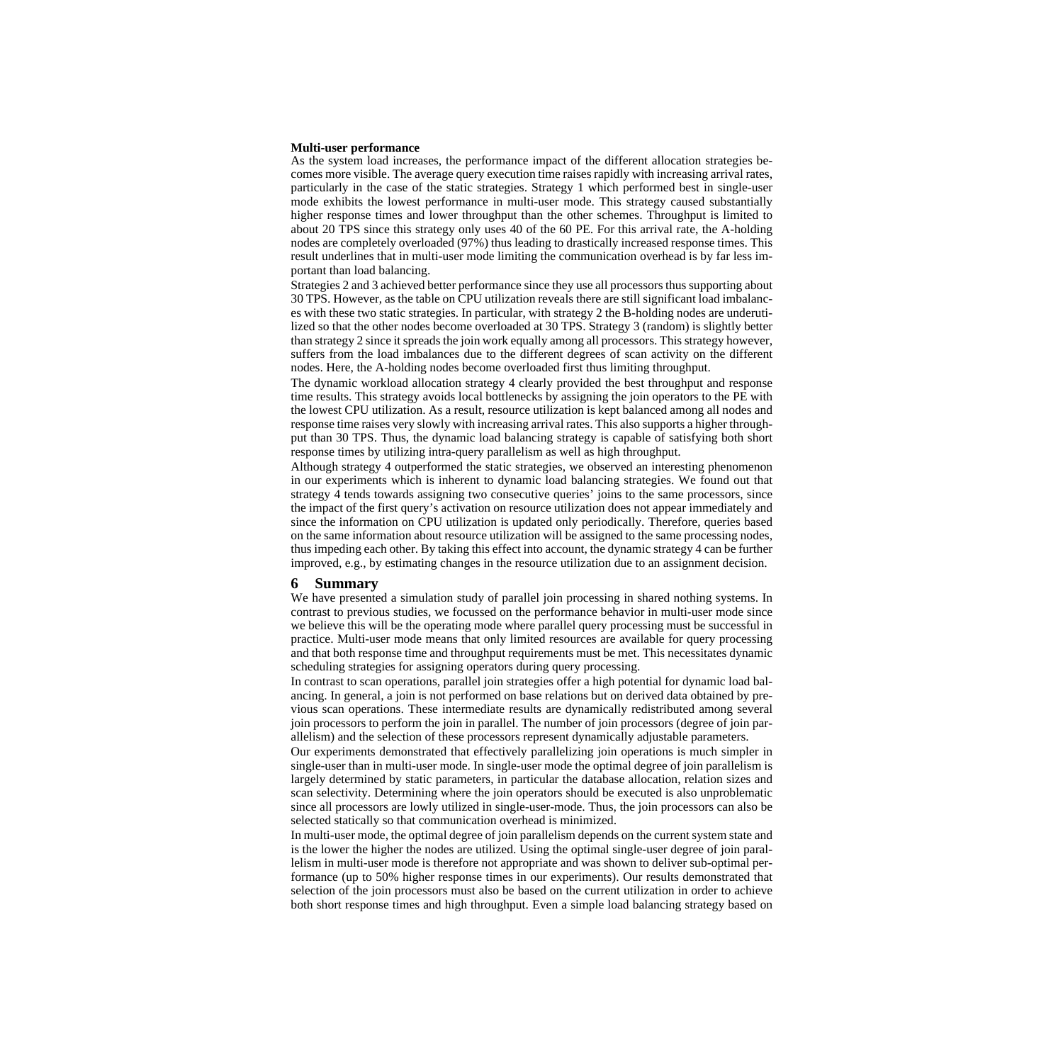#### **Multi-user performance**

As the system load increases, the performance impact of the different allocation strategies becomes more visible. The average query execution time raises rapidly with increasing arrival rates, particularly in the case of the static strategies. Strategy 1 which performed best in single-user mode exhibits the lowest performance in multi-user mode. This strategy caused substantially higher response times and lower throughput than the other schemes. Throughput is limited to about 20 TPS since this strategy only uses 40 of the 60 PE. For this arrival rate, the A-holding nodes are completely overloaded (97%) thus leading to drastically increased response times. This result underlines that in multi-user mode limiting the communication overhead is by far less important than load balancing.

Strategies 2 and 3 achieved better performance since they use all processors thus supporting about 30 TPS. However, as the table on CPU utilization reveals there are still significant load imbalances with these two static strategies. In particular, with strategy 2 the B-holding nodes are underutilized so that the other nodes become overloaded at 30 TPS. Strategy 3 (random) is slightly better than strategy 2 since it spreads the join work equally among all processors. This strategy however, suffers from the load imbalances due to the different degrees of scan activity on the different nodes. Here, the A-holding nodes become overloaded first thus limiting throughput.

The dynamic workload allocation strategy 4 clearly provided the best throughput and response time results. This strategy avoids local bottlenecks by assigning the join operators to the PE with the lowest CPU utilization. As a result, resource utilization is kept balanced among all nodes and response time raises very slowly with increasing arrival rates. This also supports a higher throughput than 30 TPS. Thus, the dynamic load balancing strategy is capable of satisfying both short response times by utilizing intra-query parallelism as well as high throughput.

Although strategy 4 outperformed the static strategies, we observed an interesting phenomenon in our experiments which is inherent to dynamic load balancing strategies. We found out that strategy 4 tends towards assigning two consecutive queries' joins to the same processors, since the impact of the first query's activation on resource utilization does not appear immediately and since the information on CPU utilization is updated only periodically. Therefore, queries based on the same information about resource utilization will be assigned to the same processing nodes, thus impeding each other. By taking this effect into account, the dynamic strategy 4 can be further improved, e.g., by estimating changes in the resource utilization due to an assignment decision.

#### **6 Summary**

We have presented a simulation study of parallel join processing in shared nothing systems. In contrast to previous studies, we focussed on the performance behavior in multi-user mode since we believe this will be the operating mode where parallel query processing must be successful in practice. Multi-user mode means that only limited resources are available for query processing and that both response time and throughput requirements must be met. This necessitates dynamic scheduling strategies for assigning operators during query processing.

In contrast to scan operations, parallel join strategies offer a high potential for dynamic load balancing. In general, a join is not performed on base relations but on derived data obtained by previous scan operations. These intermediate results are dynamically redistributed among several join processors to perform the join in parallel. The number of join processors (degree of join parallelism) and the selection of these processors represent dynamically adjustable parameters.

Our experiments demonstrated that effectively parallelizing join operations is much simpler in single-user than in multi-user mode. In single-user mode the optimal degree of join parallelism is largely determined by static parameters, in particular the database allocation, relation sizes and scan selectivity. Determining where the join operators should be executed is also unproblematic since all processors are lowly utilized in single-user-mode. Thus, the join processors can also be selected statically so that communication overhead is minimized.

In multi-user mode, the optimal degree of join parallelism depends on the current system state and is the lower the higher the nodes are utilized. Using the optimal single-user degree of join parallelism in multi-user mode is therefore not appropriate and was shown to deliver sub-optimal performance (up to 50% higher response times in our experiments). Our results demonstrated that selection of the join processors must also be based on the current utilization in order to achieve both short response times and high throughput. Even a simple load balancing strategy based on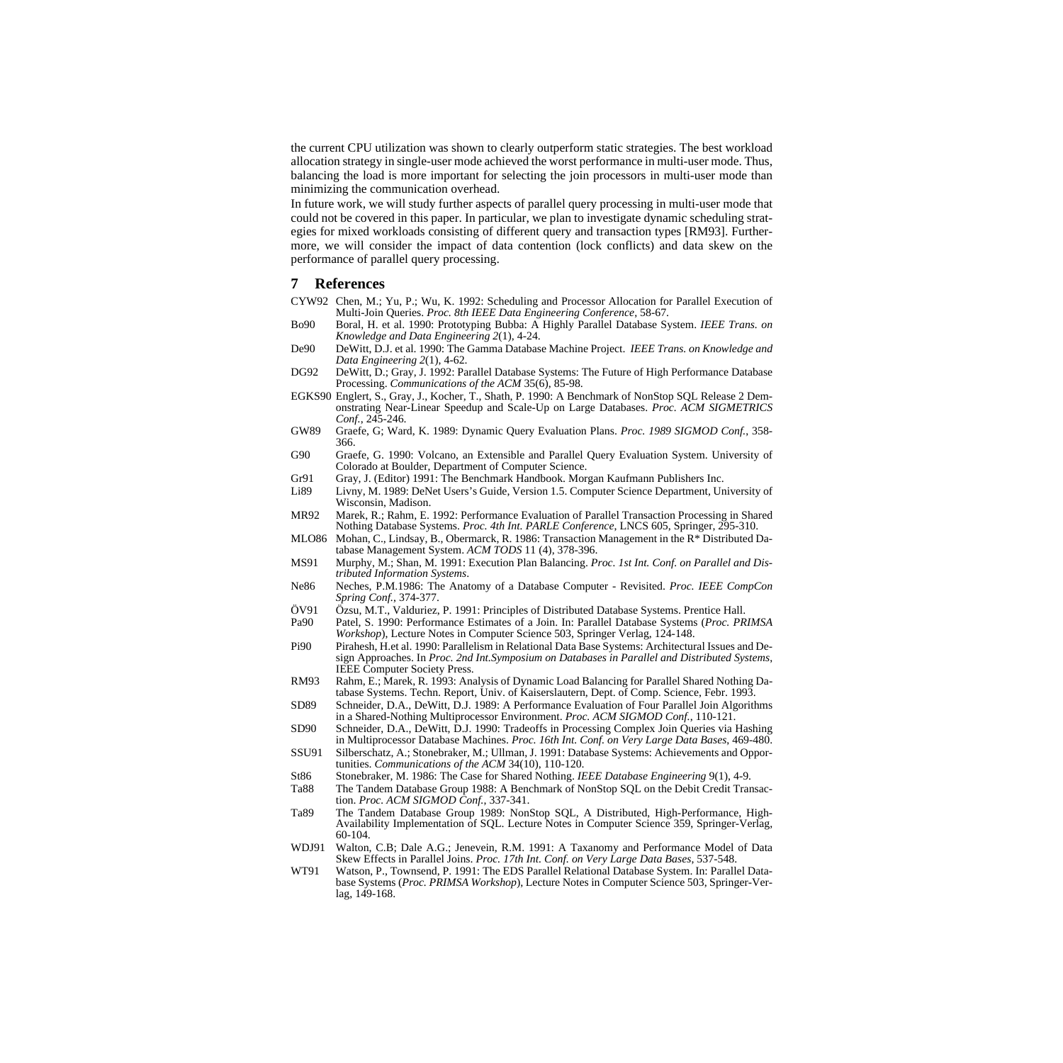the current CPU utilization was shown to clearly outperform static strategies. The best workload allocation strategy in single-user mode achieved the worst performance in multi-user mode. Thus, balancing the load is more important for selecting the join processors in multi-user mode than minimizing the communication overhead.

In future work, we will study further aspects of parallel query processing in multi-user mode that could not be covered in this paper. In particular, we plan to investigate dynamic scheduling strategies for mixed workloads consisting of different query and transaction types [RM93]. Furthermore, we will consider the impact of data contention (lock conflicts) and data skew on the performance of parallel query processing.

# **7 References**

- CYW92 Chen, M.; Yu, P.; Wu, K. 1992: Scheduling and Processor Allocation for Parallel Execution of Multi-Join Queries. *Proc. 8th IEEE Data Engineering Conference*, 58-67.
- Bo90 Boral, H. et al. 1990: Prototyping Bubba: A Highly Parallel Database System. *IEEE Trans. on Knowledge and Data Engineering 2*(1), 4-24.
- De90 DeWitt, D.J. et al. 1990: The Gamma Database Machine Project. *IEEE Trans. on Knowledge and Data Engineering 2*(1), 4-62.
- DG92 DeWitt, D.; Gray, J. 1992: Parallel Database Systems: The Future of High Performance Database Processing. *Communications of the ACM* 35(6), 85-98.
- EGKS90 Englert, S., Gray, J., Kocher, T., Shath, P. 1990: A Benchmark of NonStop SQL Release 2 Demonstrating Near-Linear Speedup and Scale-Up on Large Databases. *Proc. ACM SIGMETRICS Conf.*, 245-246.
- GW89 Graefe, G; Ward, K. 1989: Dynamic Query Evaluation Plans. *Proc. 1989 SIGMOD Conf.*, 358- 366.
- G90 Graefe, G. 1990: Volcano, an Extensible and Parallel Query Evaluation System. University of Colorado at Boulder, Department of Computer Science.
- Gr91 Gray, J. (Editor) 1991: The Benchmark Handbook. Morgan Kaufmann Publishers Inc.
- Li89 Livny, M. 1989: DeNet Users's Guide, Version 1.5. Computer Science Department, University of Wisconsin, Madison.
- MR92 Marek, R.; Rahm, E. 1992: Performance Evaluation of Parallel Transaction Processing in Shared Nothing Database Systems. *Proc. 4th Int. PARLE Conference*, LNCS 605, Springer, 295-310.
- MLO86 Mohan, C., Lindsay, B., Obermarck, R. 1986: Transaction Management in the R\* Distributed Database Management System. *ACM TODS* 11 (4), 378-396.
- MS91 Murphy, M.; Shan, M. 1991: Execution Plan Balancing. *Proc. 1st Int. Conf. on Parallel and Distributed Information Systems*.
- Ne86 Neches, P.M.1986: The Anatomy of a Database Computer Revisited. *Proc. IEEE CompCon Spring Conf.*, 374-377.
- ÖV91 Özsu, M.T., Valduriez, P. 1991: Principles of Distributed Database Systems. Prentice Hall.
- Pa90 Patel, S. 1990: Performance Estimates of a Join. In: Parallel Database Systems (*Proc. PRIMSA Workshop*), Lecture Notes in Computer Science 503, Springer Verlag, 124-148.
- Pi90 Pirahesh, H.et al. 1990: Parallelism in Relational Data Base Systems: Architectural Issues and Design Approaches. In *Proc. 2nd Int.Symposium on Databases in Parallel and Distributed Systems*, IEEE Computer Society Press.
- RM93 Rahm, E.; Marek, R. 1993: Analysis of Dynamic Load Balancing for Parallel Shared Nothing Database Systems. Techn. Report, Univ. of Kaiserslautern, Dept. of Comp. Science, Febr. 1993.
- SD89 Schneider, D.A., DeWitt, D.J. 1989: A Performance Evaluation of Four Parallel Join Algorithms in a Shared-Nothing Multiprocessor Environment. *Proc. ACM SIGMOD Conf.*, 110-121.
- SD90 Schneider, D.A., DeWitt, D.J. 1990: Tradeoffs in Processing Complex Join Queries via Hashing in Multiprocessor Database Machines. *Proc. 16th Int. Conf. on Very Large Data Bases*, 469-480.
- SSU91 Silberschatz, A.; Stonebraker, M.; Ullman, J. 1991: Database Systems: Achievements and Opportunities. *Communications of the ACM* 34(10), 110-120.
- St86 Stonebraker, M. 1986: The Case for Shared Nothing. *IEEE Database Engineering* 9(1), 4-9.
- Ta88 The Tandem Database Group 1988: A Benchmark of NonStop SQL on the Debit Credit Transaction. *Proc. ACM SIGMOD Conf.*, 337-341.
- Ta89 The Tandem Database Group 1989: NonStop SQL, A Distributed, High-Performance, High-Availability Implementation of SQL. Lecture Notes in Computer Science 359, Springer-Verlag, 60-104.
- WDJ91 Walton, C.B; Dale A.G.; Jenevein, R.M. 1991: A Taxanomy and Performance Model of Data Skew Effects in Parallel Joins. *Proc. 17th Int. Conf. on Very Large Data Bases*, 537-548.
- WT91 Watson, P., Townsend, P. 1991: The EDS Parallel Relational Database System. In: Parallel Database Systems (*Proc. PRIMSA Workshop*), Lecture Notes in Computer Science 503, Springer-Verlag, 149-168.